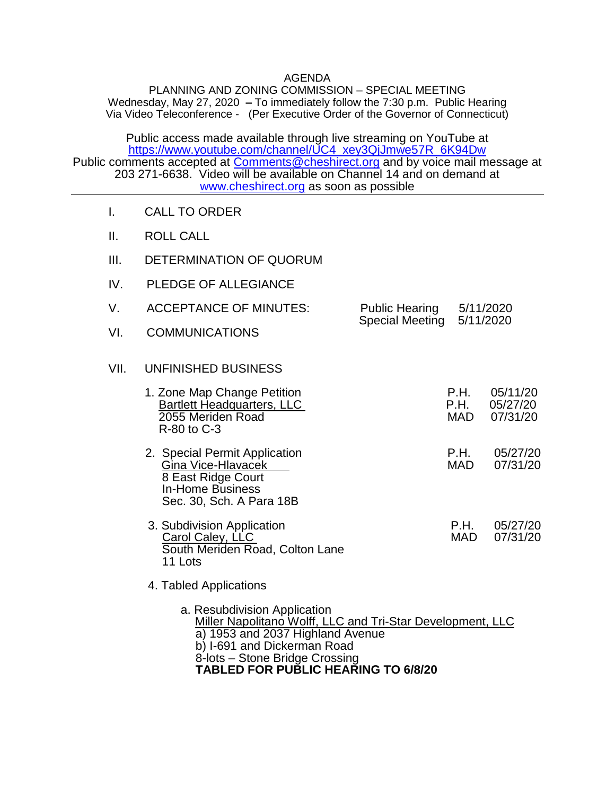## AGENDA

PLANNING AND ZONING COMMISSION – SPECIAL MEETING Wednesday, May 27, 2020 **–** To immediately follow the 7:30 p.m. Public Hearing Via Video Teleconference - (Per Executive Order of the Governor of Connecticut)

Public access made available through live streaming on YouTube at [https://www.youtube.com/channel/UC4\\_xey3QjJmwe57R\\_6K94Dw](https://www.youtube.com/channel/UC4_xey3QjJmwe57R_6K94Dw) Public comments accepted at [Comments@cheshirect.org](mailto:Comments@cheshirect.org) and by voice mail message at 203 271-6638. Video will be available on Channel 14 and on demand at [www.cheshirect.org](http://www.cheshirect.org/) as soon as possible

- I. CALL TO ORDER
- II. ROLL CALL
- III. DETERMINATION OF QUORUM
- IV. PLEDGE OF ALLEGIANCE
- V. ACCEPTANCE OF MINUTES: Public Hearing 5/11/2020 Special Meeting 5/11/2020
- VI. COMMUNICATIONS

## VII. UNFINISHED BUSINESS

| 1. Zone Map Change Petition<br><b>Bartlett Headquarters, LLC</b><br>2055 Meriden Road<br>R-80 to C-3 | P.H.<br>P H | 05/11/20<br>05/27/20<br>MAD 07/31/20 |
|------------------------------------------------------------------------------------------------------|-------------|--------------------------------------|
|                                                                                                      |             | - - - - - - - -                      |

- 2. Special Permit Application P.H. 05/27/20 Gina Vice-Hlavacek 8 East Ridge Court In-Home Business Sec. 30, Sch. A Para 18B
- 3. Subdivision Application <br>Carol Calev. LLC **P.H.** 05/27/20<br>MAD 07/31/20 Carol Caley, LLC South Meriden Road, Colton Lane 11 Lots
- 4. Tabled Applications
	- a. Resubdivision Application Miller Napolitano Wolff, LLC and Tri-Star Development, LLC a) 1953 and 2037 Highland Avenue b) I-691 and Dickerman Road 8-lots – Stone Bridge Crossing **TABLED FOR PUBLIC HEARING TO 6/8/20**